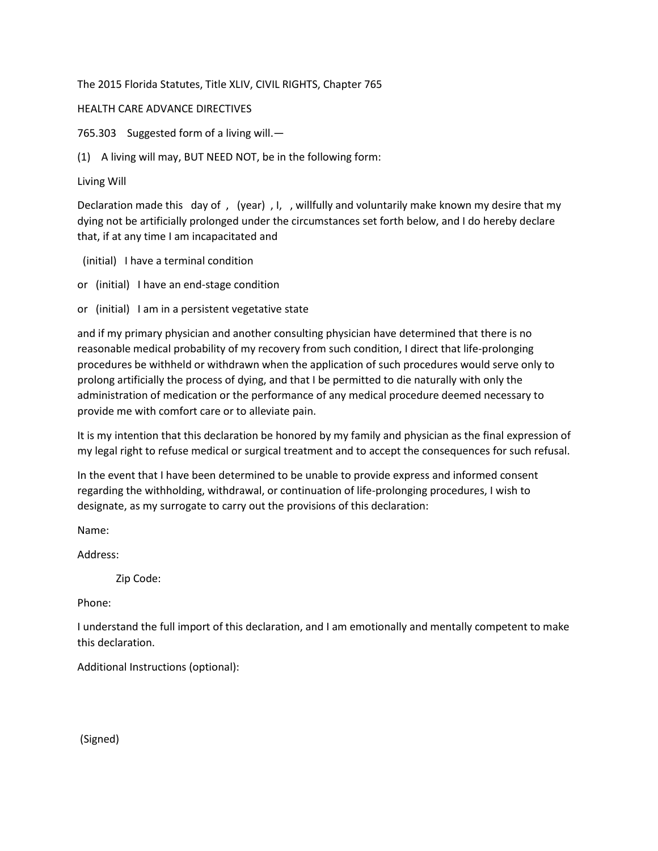The 2015 Florida Statutes, Title XLIV, CIVIL RIGHTS, Chapter 765

## HEALTH CARE ADVANCE DIRECTIVES

765.303 Suggested form of a living will.—

(1) A living will may, BUT NEED NOT, be in the following form:

## Living Will

Declaration made this day of , (year) , I, , willfully and voluntarily make known my desire that my dying not be artificially prolonged under the circumstances set forth below, and I do hereby declare that, if at any time I am incapacitated and

(initial) I have a terminal condition

or (initial) I have an end-stage condition

or (initial) I am in a persistent vegetative state

and if my primary physician and another consulting physician have determined that there is no reasonable medical probability of my recovery from such condition, I direct that life-prolonging procedures be withheld or withdrawn when the application of such procedures would serve only to prolong artificially the process of dying, and that I be permitted to die naturally with only the administration of medication or the performance of any medical procedure deemed necessary to provide me with comfort care or to alleviate pain.

It is my intention that this declaration be honored by my family and physician as the final expression of my legal right to refuse medical or surgical treatment and to accept the consequences for such refusal.

In the event that I have been determined to be unable to provide express and informed consent regarding the withholding, withdrawal, or continuation of life-prolonging procedures, I wish to designate, as my surrogate to carry out the provisions of this declaration:

Name:

Address:

Zip Code:

Phone:

I understand the full import of this declaration, and I am emotionally and mentally competent to make this declaration.

Additional Instructions (optional):

(Signed)